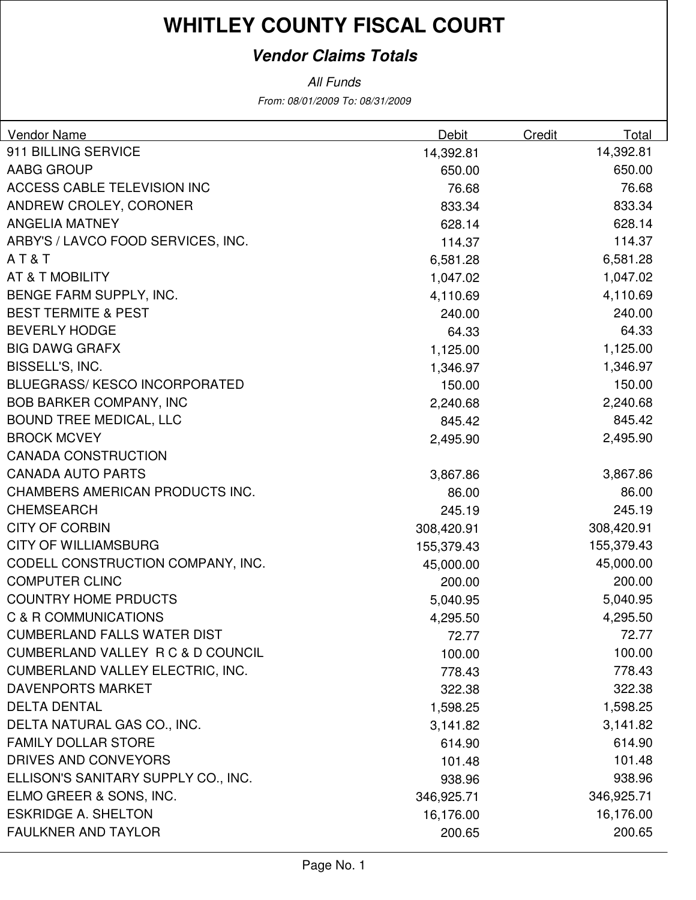#### **Vendor Claims Totals**

| <b>Vendor Name</b>                      | <b>Debit</b> | Credit | Total      |
|-----------------------------------------|--------------|--------|------------|
| 911 BILLING SERVICE                     | 14,392.81    |        | 14,392.81  |
| AABG GROUP                              | 650.00       |        | 650.00     |
| ACCESS CABLE TELEVISION INC             | 76.68        |        | 76.68      |
| ANDREW CROLEY, CORONER                  | 833.34       |        | 833.34     |
| <b>ANGELIA MATNEY</b>                   | 628.14       |        | 628.14     |
| ARBY'S / LAVCO FOOD SERVICES, INC.      | 114.37       |        | 114.37     |
| AT&T                                    | 6,581.28     |        | 6,581.28   |
| AT & T MOBILITY                         | 1,047.02     |        | 1,047.02   |
| BENGE FARM SUPPLY, INC.                 | 4,110.69     |        | 4,110.69   |
| <b>BEST TERMITE &amp; PEST</b>          | 240.00       |        | 240.00     |
| <b>BEVERLY HODGE</b>                    | 64.33        |        | 64.33      |
| <b>BIG DAWG GRAFX</b>                   | 1,125.00     |        | 1,125.00   |
| BISSELL'S, INC.                         | 1,346.97     |        | 1,346.97   |
| <b>BLUEGRASS/KESCO INCORPORATED</b>     | 150.00       |        | 150.00     |
| <b>BOB BARKER COMPANY, INC</b>          | 2,240.68     |        | 2,240.68   |
| <b>BOUND TREE MEDICAL, LLC</b>          | 845.42       |        | 845.42     |
| <b>BROCK MCVEY</b>                      | 2,495.90     |        | 2,495.90   |
| <b>CANADA CONSTRUCTION</b>              |              |        |            |
| <b>CANADA AUTO PARTS</b>                | 3,867.86     |        | 3,867.86   |
| CHAMBERS AMERICAN PRODUCTS INC.         | 86.00        |        | 86.00      |
| <b>CHEMSEARCH</b>                       | 245.19       |        | 245.19     |
| <b>CITY OF CORBIN</b>                   | 308,420.91   |        | 308,420.91 |
| <b>CITY OF WILLIAMSBURG</b>             | 155,379.43   |        | 155,379.43 |
| CODELL CONSTRUCTION COMPANY, INC.       | 45,000.00    |        | 45,000.00  |
| <b>COMPUTER CLINC</b>                   | 200.00       |        | 200.00     |
| <b>COUNTRY HOME PRDUCTS</b>             | 5,040.95     |        | 5,040.95   |
| C & R COMMUNICATIONS                    | 4,295.50     |        | 4,295.50   |
| CUMBERLAND FALLS WATER DIST             | 72.77        |        | 72.77      |
| CUMBERLAND VALLEY R C & D COUNCIL       | 100.00       |        | 100.00     |
| <b>CUMBERLAND VALLEY ELECTRIC, INC.</b> | 778.43       |        | 778.43     |
| DAVENPORTS MARKET                       | 322.38       |        | 322.38     |
| <b>DELTA DENTAL</b>                     | 1,598.25     |        | 1,598.25   |
| DELTA NATURAL GAS CO., INC.             | 3,141.82     |        | 3,141.82   |
| <b>FAMILY DOLLAR STORE</b>              | 614.90       |        | 614.90     |
| DRIVES AND CONVEYORS                    | 101.48       |        | 101.48     |
| ELLISON'S SANITARY SUPPLY CO., INC.     | 938.96       |        | 938.96     |
| ELMO GREER & SONS, INC.                 | 346,925.71   |        | 346,925.71 |
| <b>ESKRIDGE A. SHELTON</b>              | 16,176.00    |        | 16,176.00  |
| <b>FAULKNER AND TAYLOR</b>              | 200.65       |        | 200.65     |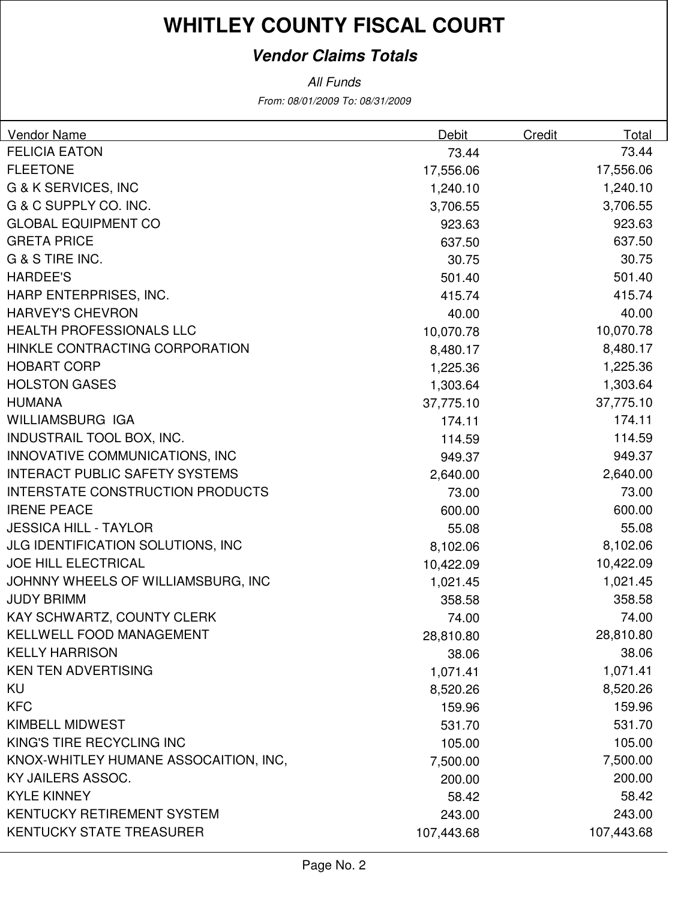#### **Vendor Claims Totals**

| <b>Vendor Name</b>                       | <b>Debit</b> | <b>Credit</b> | <b>Total</b> |
|------------------------------------------|--------------|---------------|--------------|
| <b>FELICIA EATON</b>                     | 73.44        |               | 73.44        |
| <b>FLEETONE</b>                          | 17,556.06    |               | 17,556.06    |
| G & K SERVICES, INC                      | 1,240.10     |               | 1,240.10     |
| G & C SUPPLY CO. INC.                    | 3,706.55     |               | 3,706.55     |
| <b>GLOBAL EQUIPMENT CO</b>               | 923.63       |               | 923.63       |
| <b>GRETA PRICE</b>                       | 637.50       |               | 637.50       |
| G & S TIRE INC.                          | 30.75        |               | 30.75        |
| <b>HARDEE'S</b>                          | 501.40       |               | 501.40       |
| HARP ENTERPRISES, INC.                   | 415.74       |               | 415.74       |
| <b>HARVEY'S CHEVRON</b>                  | 40.00        |               | 40.00        |
| HEALTH PROFESSIONALS LLC                 | 10,070.78    |               | 10,070.78    |
| HINKLE CONTRACTING CORPORATION           | 8,480.17     |               | 8,480.17     |
| <b>HOBART CORP</b>                       | 1,225.36     |               | 1,225.36     |
| <b>HOLSTON GASES</b>                     | 1,303.64     |               | 1,303.64     |
| <b>HUMANA</b>                            | 37,775.10    |               | 37,775.10    |
| WILLIAMSBURG IGA                         | 174.11       |               | 174.11       |
| INDUSTRAIL TOOL BOX, INC.                | 114.59       |               | 114.59       |
| INNOVATIVE COMMUNICATIONS, INC           | 949.37       |               | 949.37       |
| <b>INTERACT PUBLIC SAFETY SYSTEMS</b>    | 2,640.00     |               | 2,640.00     |
| <b>INTERSTATE CONSTRUCTION PRODUCTS</b>  | 73.00        |               | 73.00        |
| <b>IRENE PEACE</b>                       | 600.00       |               | 600.00       |
| <b>JESSICA HILL - TAYLOR</b>             | 55.08        |               | 55.08        |
| <b>JLG IDENTIFICATION SOLUTIONS, INC</b> | 8,102.06     |               | 8,102.06     |
| <b>JOE HILL ELECTRICAL</b>               | 10,422.09    |               | 10,422.09    |
| JOHNNY WHEELS OF WILLIAMSBURG, INC       | 1,021.45     |               | 1,021.45     |
| <b>JUDY BRIMM</b>                        | 358.58       |               | 358.58       |
| KAY SCHWARTZ, COUNTY CLERK               | 74.00        |               | 74.00        |
| KELLWELL FOOD MANAGEMENT                 | 28,810.80    |               | 28,810.80    |
| <b>KELLY HARRISON</b>                    | 38.06        |               | 38.06        |
| <b>KEN TEN ADVERTISING</b>               | 1,071.41     |               | 1,071.41     |
| KU                                       | 8,520.26     |               | 8,520.26     |
| <b>KFC</b>                               | 159.96       |               | 159.96       |
| KIMBELL MIDWEST                          | 531.70       |               | 531.70       |
| KING'S TIRE RECYCLING INC                | 105.00       |               | 105.00       |
| KNOX-WHITLEY HUMANE ASSOCAITION, INC,    | 7,500.00     |               | 7,500.00     |
| KY JAILERS ASSOC.                        | 200.00       |               | 200.00       |
| <b>KYLE KINNEY</b>                       | 58.42        |               | 58.42        |
| KENTUCKY RETIREMENT SYSTEM               | 243.00       |               | 243.00       |
| <b>KENTUCKY STATE TREASURER</b>          | 107,443.68   |               | 107,443.68   |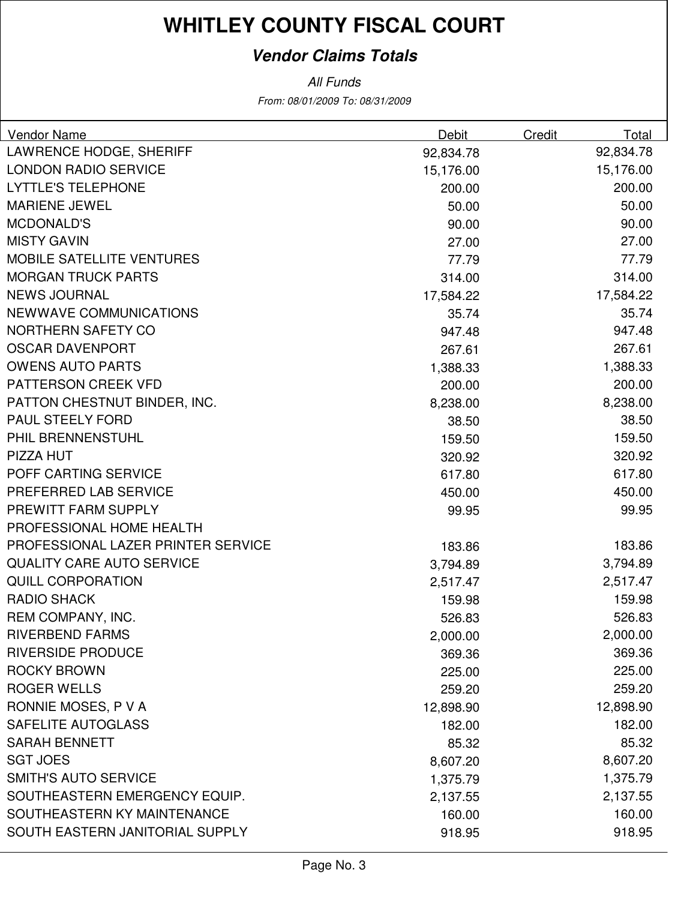#### **Vendor Claims Totals**

| Vendor Name                        | Debit     | Credit | Total     |
|------------------------------------|-----------|--------|-----------|
| LAWRENCE HODGE, SHERIFF            | 92,834.78 |        | 92,834.78 |
| <b>LONDON RADIO SERVICE</b>        | 15,176.00 |        | 15,176.00 |
| <b>LYTTLE'S TELEPHONE</b>          | 200.00    |        | 200.00    |
| <b>MARIENE JEWEL</b>               | 50.00     |        | 50.00     |
| <b>MCDONALD'S</b>                  | 90.00     |        | 90.00     |
| <b>MISTY GAVIN</b>                 | 27.00     |        | 27.00     |
| <b>MOBILE SATELLITE VENTURES</b>   | 77.79     |        | 77.79     |
| <b>MORGAN TRUCK PARTS</b>          | 314.00    |        | 314.00    |
| <b>NEWS JOURNAL</b>                | 17,584.22 |        | 17,584.22 |
| <b>NEWWAVE COMMUNICATIONS</b>      | 35.74     |        | 35.74     |
| NORTHERN SAFETY CO                 | 947.48    |        | 947.48    |
| <b>OSCAR DAVENPORT</b>             | 267.61    |        | 267.61    |
| <b>OWENS AUTO PARTS</b>            | 1,388.33  |        | 1,388.33  |
| PATTERSON CREEK VFD                | 200.00    |        | 200.00    |
| PATTON CHESTNUT BINDER, INC.       | 8,238.00  |        | 8,238.00  |
| <b>PAUL STEELY FORD</b>            | 38.50     |        | 38.50     |
| PHIL BRENNENSTUHL                  | 159.50    |        | 159.50    |
| PIZZA HUT                          | 320.92    |        | 320.92    |
| POFF CARTING SERVICE               | 617.80    |        | 617.80    |
| PREFERRED LAB SERVICE              | 450.00    |        | 450.00    |
| PREWITT FARM SUPPLY                | 99.95     |        | 99.95     |
| PROFESSIONAL HOME HEALTH           |           |        |           |
| PROFESSIONAL LAZER PRINTER SERVICE | 183.86    |        | 183.86    |
| <b>QUALITY CARE AUTO SERVICE</b>   | 3,794.89  |        | 3,794.89  |
| <b>QUILL CORPORATION</b>           | 2,517.47  |        | 2,517.47  |
| <b>RADIO SHACK</b>                 | 159.98    |        | 159.98    |
| REM COMPANY, INC.                  | 526.83    |        | 526.83    |
| RIVERBEND FARMS                    | 2,000.00  |        | 2,000.00  |
| <b>RIVERSIDE PRODUCE</b>           | 369.36    |        | 369.36    |
| <b>ROCKY BROWN</b>                 | 225.00    |        | 225.00    |
| <b>ROGER WELLS</b>                 | 259.20    |        | 259.20    |
| RONNIE MOSES, P V A                | 12,898.90 |        | 12,898.90 |
| SAFELITE AUTOGLASS                 | 182.00    |        | 182.00    |
| <b>SARAH BENNETT</b>               | 85.32     |        | 85.32     |
| <b>SGT JOES</b>                    | 8,607.20  |        | 8,607.20  |
| <b>SMITH'S AUTO SERVICE</b>        | 1,375.79  |        | 1,375.79  |
| SOUTHEASTERN EMERGENCY EQUIP.      | 2,137.55  |        | 2,137.55  |
| SOUTHEASTERN KY MAINTENANCE        | 160.00    |        | 160.00    |
| SOUTH EASTERN JANITORIAL SUPPLY    | 918.95    |        | 918.95    |